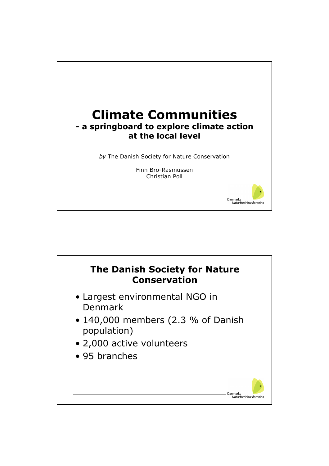

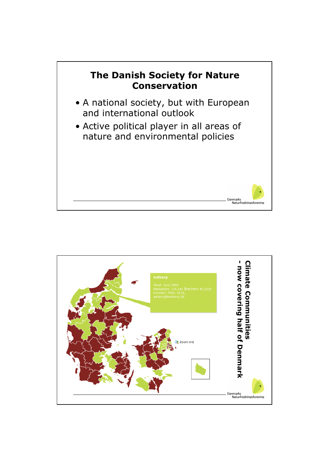

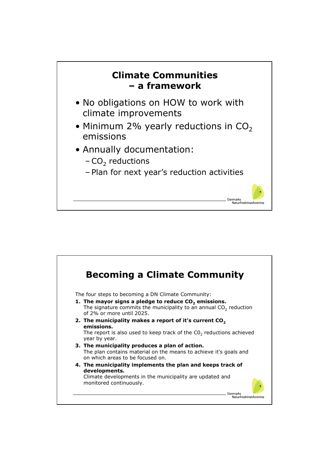

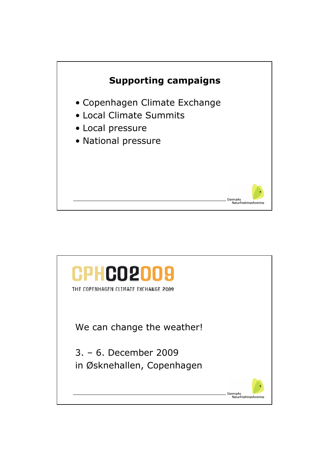

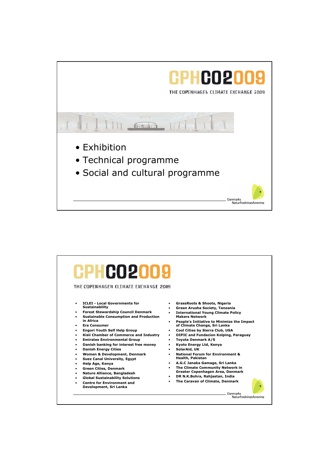

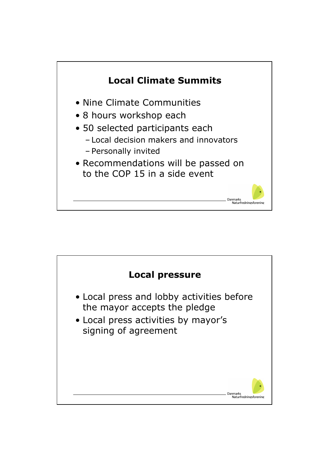

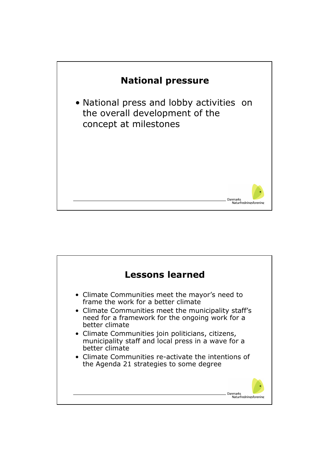

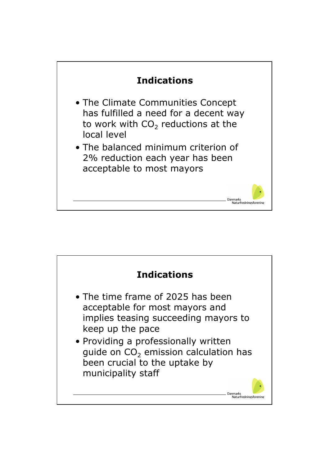

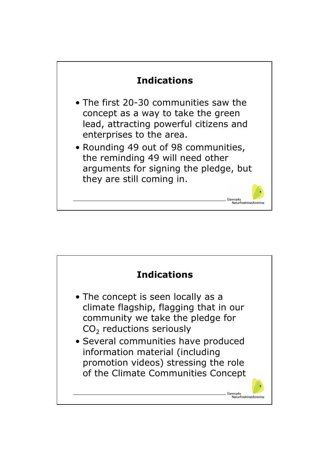